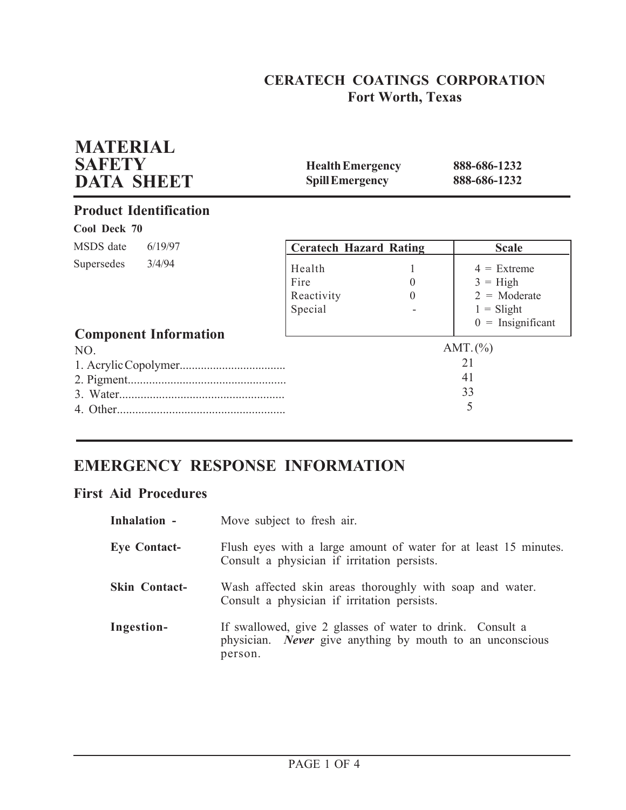# **CERATECH COATINGS CORPORATION Fort Worth, Texas**

| <b>MATERIAL</b><br><b>SAFETY</b><br><b>DATA SHEET</b> | <b>Health Emergency</b><br><b>Spill Emergency</b> |                      | 888-686-1232<br>888-686-1232                                                                |
|-------------------------------------------------------|---------------------------------------------------|----------------------|---------------------------------------------------------------------------------------------|
| <b>Product Identification</b>                         |                                                   |                      |                                                                                             |
| Cool Deck 70                                          |                                                   |                      |                                                                                             |
| MSDS date<br>6/19/97                                  | <b>Ceratech Hazard Rating</b>                     |                      | <b>Scale</b>                                                                                |
| Supersedes<br>3/4/94<br><b>Component Information</b>  | Health<br>Fire<br>Reactivity<br>Special           | $\theta$<br>$\theta$ | $4 =$ Extreme<br>$3 = High$<br>$2 = \text{Moderate}$<br>$1 =$ Slight<br>$0 =$ Insignificant |
| NO.                                                   |                                                   |                      | AMT. (%)<br>21<br>41<br>33<br>5                                                             |

# **EMERGENCY RESPONSE INFORMATION**

## **First Aid Procedures**

| Inhalation -         | Move subject to fresh air.                                                                                                               |
|----------------------|------------------------------------------------------------------------------------------------------------------------------------------|
| <b>Eye Contact-</b>  | Flush eyes with a large amount of water for at least 15 minutes.<br>Consult a physician if irritation persists.                          |
| <b>Skin Contact-</b> | Wash affected skin areas thoroughly with soap and water.<br>Consult a physician if irritation persists.                                  |
| Ingestion-           | If swallowed, give 2 glasses of water to drink. Consult a<br>physician. <i>Never</i> give anything by mouth to an unconscious<br>person. |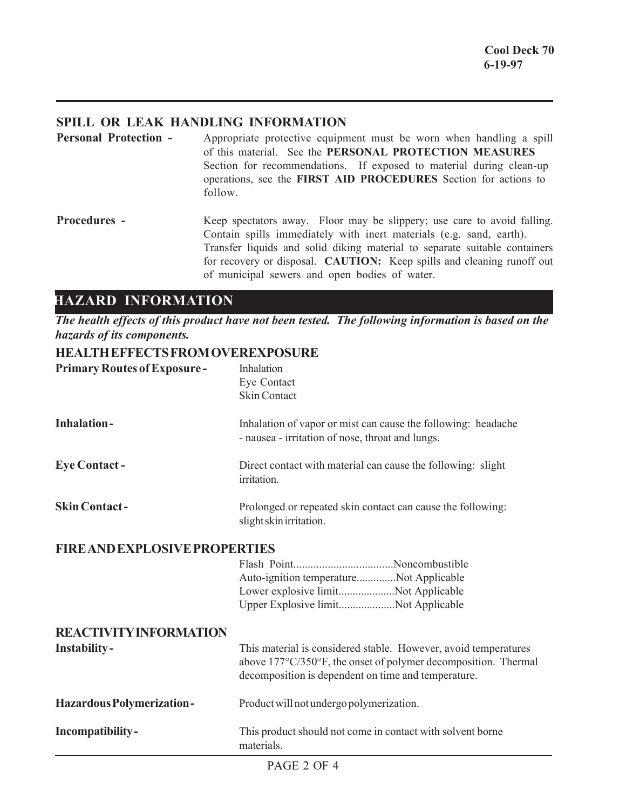## **SPILL OR LEAK HANDLING INFORMATION**

**Personal Protection -** Appropriate protective equipment must be worn when handling a spill of this material. See the **PERSONAL PROTECTION MEASURES** Section for recommendations. If exposed to material during clean-up operations, see the **FIRST AID PROCEDURES** Section for actions to follow.

**Procedures -** Keep spectators away. Floor may be slippery; use care to avoid falling. Contain spills immediately with inert materials (e.g. sand, earth). Transfer liquids and solid diking material to separate suitable containers for recovery or disposal. **CAUTION:** Keep spills and cleaning runoff out of municipal sewers and open bodies of water.

## **HAZARD INFORMATION**

*The health effects of this product have not been tested. The following information is based on the hazards of its components.*

## **HEALTH EFFECTS FROM OVEREXPOSURE**

| <b>Primary Routes of Exposure-</b>                   | Inhalation<br>Eye Contact<br><b>Skin Contact</b>                                                                                                                                         |
|------------------------------------------------------|------------------------------------------------------------------------------------------------------------------------------------------------------------------------------------------|
| <b>Inhalation-</b>                                   | Inhalation of vapor or mist can cause the following: headache<br>- nausea - irritation of nose, throat and lungs.                                                                        |
| <b>Eye Contact -</b>                                 | Direct contact with material can cause the following: slight<br>irritation.                                                                                                              |
| <b>Skin Contact-</b>                                 | Prolonged or repeated skin contact can cause the following:<br>slight skin irritation.                                                                                                   |
| <b>FIRE AND EXPLOSIVE PROPERTIES</b>                 | Auto-ignition temperatureNot Applicable<br>Lower explosive limitNot Applicable<br>Upper Explosive limitNot Applicable                                                                    |
| <b>REACTIVITY INFORMATION</b><br><b>Instability-</b> | This material is considered stable. However, avoid temperatures<br>above 177°C/350°F, the onset of polymer decomposition. Thermal<br>decomposition is dependent on time and temperature. |
| Hazardous Polymerization-                            | Product will not undergo polymerization.                                                                                                                                                 |
| Incompatibility-                                     | This product should not come in contact with solvent borne<br>materials.                                                                                                                 |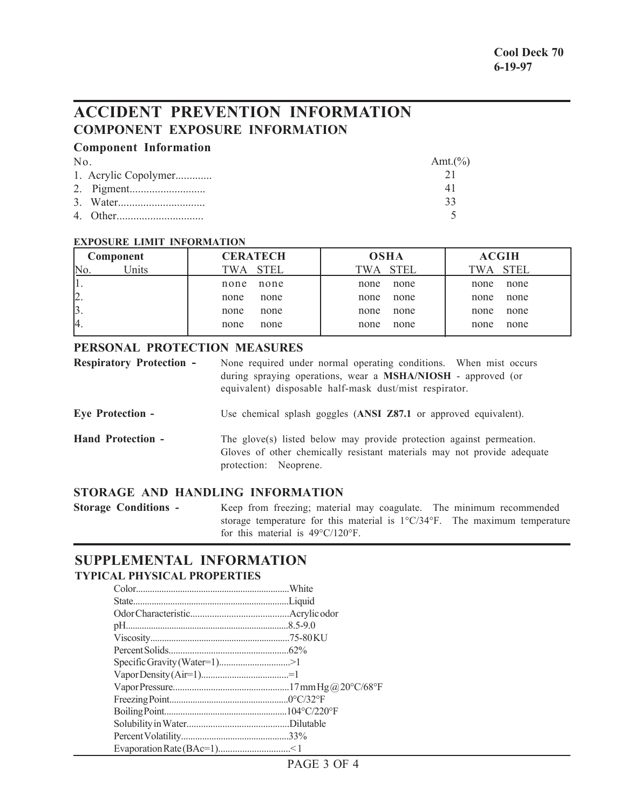# **ACCIDENT PREVENTION INFORMATION COMPONENT EXPOSURE INFORMATION**

## **Component Information**

| $N_{0}$ |                      | Amt. $(\%)$ |
|---------|----------------------|-------------|
|         | 1. Acrylic Copolymer |             |
|         |                      |             |
|         |                      | 33          |
|         |                      |             |

### **EXPOSURE LIMIT INFORMATION**

| Component                 | <b>CERATECH</b> | <b>OSHA</b> | <b>ACGIH</b> |
|---------------------------|-----------------|-------------|--------------|
| Inits <sup>1</sup><br>No. | TWA STEL        | TWA STEL    | TWA STEL     |
| 41.                       | none            | none        | none         |
|                           | none            | none        | none         |
| $\vert 2. \vert$          | none            | none        | none         |
|                           | none            | none        | none         |
| $\beta$ .                 | none            | none        | none         |
|                           | none            | none        | none         |
| 4.                        | none            | none        | none         |
|                           | none            | none        | none         |

## **PERSONAL PROTECTION MEASURES**

| <b>Respiratory Protection -</b> | None required under normal operating conditions. When mist occurs<br>during spraying operations, wear a MSHA/NIOSH - approved (or<br>equivalent) disposable half-mask dust/mist respirator. |
|---------------------------------|---------------------------------------------------------------------------------------------------------------------------------------------------------------------------------------------|
| <b>Eye Protection -</b>         | Use chemical splash goggles (ANSI Z87.1 or approved equivalent).                                                                                                                            |
| <b>Hand Protection -</b>        | The glove(s) listed below may provide protection against permeation.<br>Gloves of other chemically resistant materials may not provide adequate<br>protection: Neoprene.                    |

## **STORAGE AND HANDLING INFORMATION**

**Storage Conditions -** Keep from freezing; material may coagulate. The minimum recommended storage temperature for this material is 1°C/34°F. The maximum temperature for this material is 49°C/120°F.

## **SUPPLEMENTAL INFORMATION TYPICAL PHYSICAL PROPERTIES**

| Specific Gravity (Water=1)>1 |  |
|------------------------------|--|
|                              |  |
|                              |  |
|                              |  |
|                              |  |
|                              |  |
|                              |  |
|                              |  |